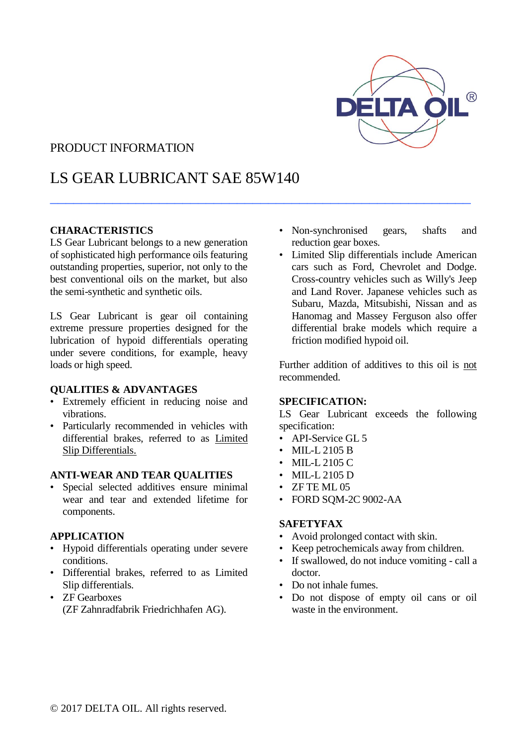

## PRODUCT INFORMATION

## LS GEAR LUBRICANT SAE 85W140

 $\_$  . The contract of the contract of the contract of the contract of the contract of the contract of the contract of the contract of the contract of the contract of the contract of the contract of the contract of the con

#### **CHARACTERISTICS**

LS Gear Lubricant belongs to a new generation of sophisticated high performance oils featuring outstanding properties, superior, not only to the best conventional oils on the market, but also the semi-synthetic and synthetic oils.

LS Gear Lubricant is gear oil containing extreme pressure properties designed for the lubrication of hypoid differentials operating under severe conditions, for example, heavy loads or high speed.

#### **QUALITIES & ADVANTAGES**

- Extremely efficient in reducing noise and vibrations.
- Particularly recommended in vehicles with differential brakes, referred to as Limited Slip Differentials.

#### **ANTI-WEAR AND TEAR QUALITIES**

Special selected additives ensure minimal wear and tear and extended lifetime for components.

#### **APPLICATION**

- Hypoid differentials operating under severe conditions.
- Differential brakes, referred to as Limited Slip differentials.
- ZF Gearboxes (ZF Zahnradfabrik Friedrichhafen AG).
- Non-synchronised gears, shafts and reduction gear boxes.
- Limited Slip differentials include American cars such as Ford, Chevrolet and Dodge. Cross-country vehicles such as Willy's Jeep and Land Rover. Japanese vehicles such as Subaru, Mazda, Mitsubishi, Nissan and as Hanomag and Massey Ferguson also offer differential brake models which require a friction modified hypoid oil.

Further addition of additives to this oil is not recommended.

#### **SPECIFICATION:**

LS Gear Lubricant exceeds the following specification:

- API-Service GL 5
- MIL-L 2105 B
- MIL-L 2105 C
- MIL-L 2105 D
- ZF TE ML 05
- FORD SQM-2C 9002-AA

#### **SAFETYFAX**

- Avoid prolonged contact with skin.
- Keep petrochemicals away from children.
- If swallowed, do not induce vomiting call a doctor.
- Do not inhale fumes.
- Do not dispose of empty oil cans or oil waste in the environment.